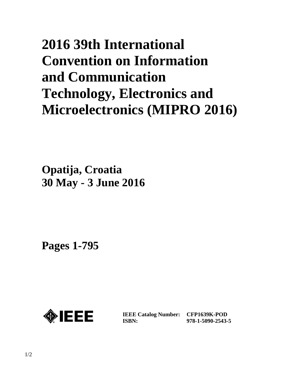# **2016 39th International Convention on Information and Communication Technology, Electronics and Microelectronics (MIPRO 2016)**

**Opatija, Croatia 30 May - 3 June 2016**

**Pages 1-795** 



**IEEE Catalog Number: CFP1639K-POD ISBN:** 

**978-1-5090-2543-5**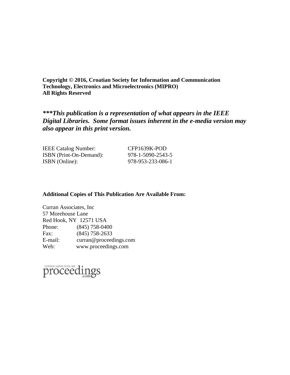**Copyright © 2016, Croatian Society for Information and Communication Technology, Electronics and Microelectronics (MIPRO) All Rights Reserved** 

*\*\*\*This publication is a representation of what appears in the IEEE Digital Libraries. Some format issues inherent in the e-media version may also appear in this print version.* 

IEEE Catalog Number: CFP1639K-POD ISBN (Print-On-Demand): 978-1-5090-2543-5 ISBN (Online): 978-953-233-086-1

#### **Additional Copies of This Publication Are Available From:**

| Curran Associates, Inc |                        |
|------------------------|------------------------|
| 57 Morehouse Lane      |                        |
| Red Hook, NY 12571 USA |                        |
| Phone:                 | $(845)$ 758-0400       |
| Fax:                   | $(845)$ 758-2633       |
| E-mail:                | curran@proceedings.com |
| Web:                   | www.proceedings.com    |

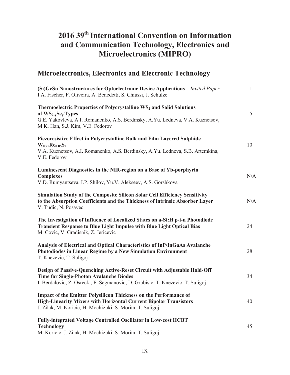## **2016 39th International Convention on Information and Communication Technology, Electronics and Microelectronics (MIPRO)**

#### **Microelectronics, Electronics and Electronic Technology**

| (Si)GeSn Nanostructures for Optoelectronic Device Applications – Invited Paper<br>I.A. Fischer, F. Oliveira, A. Benedetti, S. Chiussi, J. Schulze                                                                                 | $\mathbf{1}$ |
|-----------------------------------------------------------------------------------------------------------------------------------------------------------------------------------------------------------------------------------|--------------|
| Thermoelectric Properties of Polycrystalline WS <sub>2</sub> and Solid Solutions<br>of $WS_{2-y}Se_y$ Types<br>G.E. Yakovleva, A.I. Romanenko, A.S. Berdinsky, A.Yu. Ledneva, V.A. Kuznetsov,<br>M.K. Han, S.J. Kim, V.E. Fedorov | 5            |
| Piezoresistive Effect in Polycrystalline Bulk and Film Layered Sulphide<br>$W_{0.95}$ Re <sub>0.05</sub> S <sub>2</sub><br>V.A. Kuznetsov, A.I. Romanenko, A.S. Berdinsky, A.Yu. Ledneva, S.B. Artemkina,<br>V.E. Fedorov         | 10           |
| Luminescent Diagnostics in the NIR-region on a Base of Yb-porphyrin<br><b>Complexes</b><br>V.D. Rumyantseva, I.P. Shilov, Yu.V. Alekseev, A.S. Gorshkova                                                                          | N/A          |
| Simulation Study of the Composite Silicon Solar Cell Efficiency Sensitivity<br>to the Absorption Coefficients and the Thickness of intrinsic Absorber Layer<br>V. Tudic, N. Posavec                                               | N/A          |
| The Investigation of Influence of Localized States on a-Si: H p-i-n Photodiode<br><b>Transient Response to Blue Light Impulse with Blue Light Optical Bias</b><br>M. Covic, V. Gradisnik, Z. Jericevic                            | 24           |
| Analysis of Electrical and Optical Characteristics of InP/InGaAs Avalanche<br>Photodiodes in Linear Regime by a New Simulation Environment<br>T. Knezevic, T. Suligoj                                                             | 28           |
| Design of Passive-Quenching Active-Reset Circuit with Adjustable Hold-Off<br><b>Time for Single-Photon Avalanche Diodes</b><br>I. Berdalovic, Z. Osrecki, F. Segmanovic, D. Grubisic, T. Knezevic, T. Suligoj                     | 34           |
| <b>Impact of the Emitter Polysilicon Thickness on the Performance of</b><br><b>High-Linearity Mixers with Horizontal Current Bipolar Transistors</b><br>J. Zilak, M. Koricic, H. Mochizuki, S. Morita, T. Suligoj                 | 40           |
| <b>Fully-integrated Voltage Controlled Oscillator in Low-cost HCBT</b><br><b>Technology</b><br>M. Koricic, J. Zilak, H. Mochizuki, S. Morita, T. Suligoj                                                                          | 45           |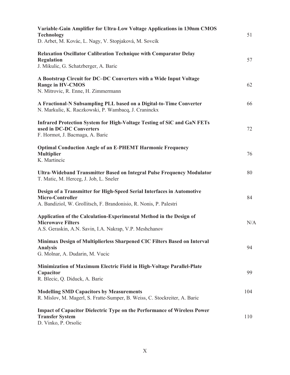| Variable-Gain Amplifier for Ultra-Low Voltage Applications in 130nm CMOS<br><b>Technology</b><br>D. Arbet, M. Kovác, L. Nagy, V. Stopjaková, M. Sovcík           | 51  |
|------------------------------------------------------------------------------------------------------------------------------------------------------------------|-----|
| <b>Relaxation Oscillator Calibration Technique with Comparator Delay</b><br><b>Regulation</b><br>J. Mikulic, G. Schatzberger, A. Baric                           | 57  |
| A Bootstrap Circuit for DC-DC Converters with a Wide Input Voltage<br><b>Range in HV-CMOS</b><br>N. Mitrovic, R. Enne, H. Zimmermann                             | 62  |
| A Fractional-N Subsampling PLL based on a Digital-to-Time Converter<br>N. Markulic, K. Raczkowski, P. Wambacq, J. Craninckx                                      | 66  |
| Infrared Protection System for High-Voltage Testing of SiC and GaN FETs<br>used in DC-DC Converters<br>F. Hormot, J. Bacmaga, A. Baric                           | 72  |
| <b>Optimal Conduction Angle of an E-PHEMT Harmonic Frequency</b><br><b>Multiplier</b><br>K. Martincic                                                            | 76  |
| Ultra-Wideband Transmitter Based on Integral Pulse Frequency Modulator<br>T. Matic, M. Herceg, J. Job, L. Sneler                                                 | 80  |
| Design of a Transmitter for High-Speed Serial Interfaces in Automotive<br>Micro-Controller<br>A. Bandiziol, W. Grollitsch, F. Brandonisio, R. Nonis, P. Palestri | 84  |
| Application of the Calculation-Experimental Method in the Design of<br><b>Microwave Filters</b><br>A.S. Geraskin, A.N. Savin, I.A. Nakrap, V.P. Meshchanov       | N/A |
| Minimax Design of Multiplierless Sharpened CIC Filters Based on Interval<br><b>Analysis</b><br>G. Molnar, A. Dudarin, M. Vucic                                   | 94  |
| Minimization of Maximum Electric Field in High-Voltage Parallel-Plate<br>Capacitor<br>R. Blecic, Q. Diduck, A. Baric                                             | 99  |
| <b>Modelling SMD Capacitors by Measurements</b><br>R. Mislov, M. Magerl, S. Fratte-Sumper, B. Weiss, C. Stockreiter, A. Baric                                    | 104 |
| <b>Impact of Capacitor Dielectric Type on the Performance of Wireless Power</b><br><b>Transfer System</b><br>D. Vinko, P. Orsolic                                | 110 |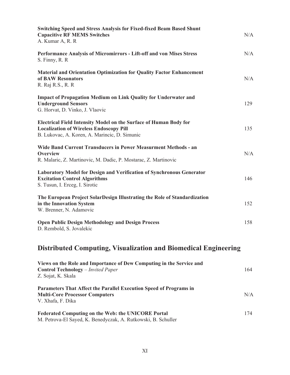| <b>Switching Speed and Stress Analysis for Fixed-fixed Beam Based Shunt</b><br><b>Capacitive RF MEMS Switches</b><br>A. Kumar A, R. R.                               | N/A |
|----------------------------------------------------------------------------------------------------------------------------------------------------------------------|-----|
| Performance Analysis of Micromirrors - Lift-off and von Mises Stress<br>S. Finny, R. R.                                                                              | N/A |
| <b>Material and Orientation Optimization for Quality Factor Enhancement</b><br>of BAW Resonators<br>R. Raj R.S., R. R                                                | N/A |
| <b>Impact of Propagation Medium on Link Quality for Underwater and</b><br><b>Underground Sensors</b><br>G. Horvat, D. Vinko, J. Vlaovic                              | 129 |
| Electrical Field Intensity Model on the Surface of Human Body for<br><b>Localization of Wireless Endoscopy Pill</b><br>B. Lukovac, A. Koren, A. Marincic, D. Simunic | 135 |
| <b>Wide Band Current Transducers in Power Measurment Methods - an</b><br>Overview<br>R. Malaric, Z. Martinovic, M. Dadic, P. Mostarac, Z. Martinovic                 | N/A |
| <b>Laboratory Model for Design and Verification of Synchronous Generator</b><br><b>Excitation Control Algorithms</b><br>S. Tusun, I. Erceg, I. Sirotic               | 146 |
| The European Project SolarDesign Illustrating the Role of Standardization<br>in the Innovation System<br>W. Brenner, N. Adamovic                                     | 152 |
| <b>Open Public Design Methodology and Design Process</b><br>D. Rembold, S. Jovalekic                                                                                 | 158 |
| <b>Distributed Computing, Visualization and Biomedical Engineering</b>                                                                                               |     |
| Views on the Role and Importance of Dew Computing in the Service and<br><b>Control Technology</b> - Invited Paper<br>Z. Sojat, K. Skala                              | 164 |

| Parameters That Affect the Parallel Execution Speed of Programs in |     |
|--------------------------------------------------------------------|-----|
| <b>Multi-Core Processor Computers</b>                              | N/A |
| V. Xhafa, F. Dika                                                  |     |
|                                                                    |     |

| <b>Federated Computing on the Web: the UNICORE Portal</b>     | 174 |
|---------------------------------------------------------------|-----|
| M. Petrova-El Sayed, K. Benedyczak, A. Rutkowski, B. Schuller |     |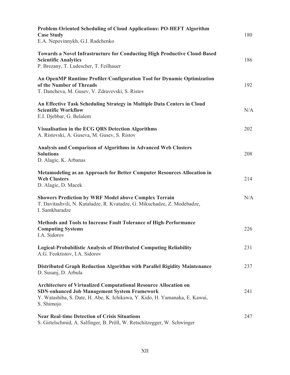| Problem-Oriented Scheduling of Cloud Applications: PO-HEFT Algorithm<br><b>Case Study</b><br>E.A. Nepovinnykh, G.I. Radchenko                                                                                               | 180 |
|-----------------------------------------------------------------------------------------------------------------------------------------------------------------------------------------------------------------------------|-----|
| <b>Towards a Novel Infrastructure for Conducting High Productive Cloud-Based</b><br><b>Scientific Analytics</b><br>P. Brezany, T. Ludescher, T. Feilhauer                                                                   | 186 |
| An OpenMP Runtime Profiler/Configuration Tool for Dynamic Optimization<br>of the Number of Threads<br>T. Dancheva, M. Gusev, V. Zdravevski, S. Ristov                                                                       | 192 |
| An Effective Task Scheduling Strategy in Multiple Data Centers in Cloud<br><b>Scientific Workflow</b><br>E.I. Djebbar, G. Belalem                                                                                           | N/A |
| <b>Visualisation in the ECG QRS Detection Algorithms</b><br>A. Ristovski, A. Guseva, M. Gusev, S. Ristov                                                                                                                    | 202 |
| Analysis and Comparison of Algorithms in Advanced Web Clusters<br><b>Solutions</b><br>D. Alagic, K. Arbanas                                                                                                                 | 208 |
| Metamodeling as an Approach for Better Computer Resources Allocation in<br><b>Web Clusters</b><br>D. Alagic, D. Macek                                                                                                       | 214 |
| <b>Showers Prediction by WRF Model above Complex Terrain</b><br>T. Davitashvili, N. Kutaladze, R. Kvatadze, G. Mikuchadze, Z. Modebadze,<br>I. Samkharadze                                                                  | N/A |
| Methods and Tools to Increase Fault Tolerance of High-Performance<br><b>Computing Systems</b><br>I.A. Sidorov                                                                                                               | 226 |
| <b>Logical-Probabilistic Analysis of Distributed Computing Reliability</b><br>A.G. Feoktistov, I.A. Sidorov                                                                                                                 | 231 |
| Distributed Graph Reduction Algorithm with Parallel Rigidity Maintenance<br>D. Susanj, D. Arbula                                                                                                                            | 237 |
| <b>Architecture of Virtualized Computational Resource Allocation on</b><br><b>SDN-enhanced Job Management System Framework</b><br>Y. Watashiba, S. Date, H. Abe, K. Ichikawa, Y. Kido, H. Yamanaka, E. Kawai,<br>S. Shimojo | 241 |
| <b>Near Real-time Detection of Crisis Situations</b><br>S. Girtelschmid, A. Salfinger, B. Pröll, W. Retschitzegger, W. Schwinger                                                                                            | 247 |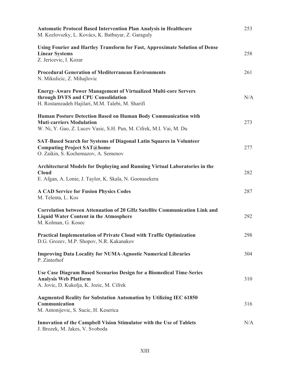| <b>Automatic Protocol Based Intervention Plan Analysis in Healthcare</b><br>M. Kozlovszky, L. Kovács, K. Batbayar, Z. Garaguly                                           | 253 |
|--------------------------------------------------------------------------------------------------------------------------------------------------------------------------|-----|
| Using Fourier and Hartley Transform for Fast, Approximate Solution of Dense<br><b>Linear Systems</b><br>Z. Jericevic, I. Kozar                                           | 258 |
| <b>Procedural Generation of Mediterranean Environments</b><br>N. Mikulicic, Z. Mihajlovic                                                                                | 261 |
| <b>Energy-Aware Power Management of Virtualized Multi-core Servers</b><br>through DVFS and CPU Consolidation<br>H. Rostamzadeh Hajilari, M.M. Talebi, M. Sharifi         | N/A |
| Human Posture Detection Based on Human Body Communication with<br><b>Muti-carriers Modulation</b><br>W. Ni, Y. Gao, Z. Lucev Vasic, S.H. Pun, M. Cifrek, M.I. Vai, M. Du | 273 |
| SAT-Based Search for Systems of Diagonal Latin Squares in Volunteer<br><b>Computing Project SAT@home</b><br>O. Zaikin, S. Kochemazov, A. Semenov                         | 277 |
| Architectural Models for Deploying and Running Virtual Laboratories in the<br><b>Cloud</b><br>E. Afgan, A. Lonie, J. Taylor, K. Skala, N. Goonasekera                    | 282 |
| <b>A CAD Service for Fusion Physics Codes</b><br>M. Telenta, L. Kos                                                                                                      | 287 |
| <b>Correlation between Attenuation of 20 GHz Satellite Communication Link and</b><br><b>Liquid Water Content in the Atmosphere</b><br>M. Kolman, G. Kosec                | 292 |
| <b>Practical Implementation of Private Cloud with Traffic Optimization</b><br>D.G. Grozev, M.P. Shopov, N.R. Kakanakov                                                   | 298 |
| <b>Improving Data Locality for NUMA-Agnostic Numerical Libraries</b><br>P. Zinterhof                                                                                     | 304 |
| Use Case Diagram Based Scenarios Design for a Biomedical Time-Series<br><b>Analysis Web Platform</b><br>A. Jovic, D. Kukolja, K. Jozic, M. Cifrek                        | 310 |
| <b>Augmented Reality for Substation Automation by Utilizing IEC 61850</b><br>Communication<br>M. Antonijevic, S. Sucic, H. Keserica                                      | 316 |
| Innovation of the Campbell Vision Stimulator with the Use of Tablets<br>J. Brozek, M. Jakes, V. Svoboda                                                                  | N/A |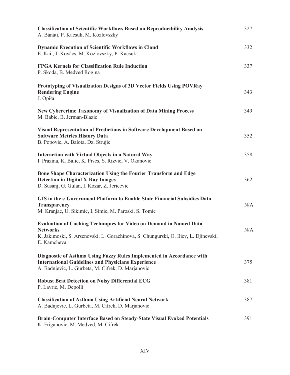| <b>Classification of Scientific Workflows Based on Reproducibility Analysis</b><br>A. Bánáti, P. Kacsuk, M. Kozlovszky                                                                      | 327 |
|---------------------------------------------------------------------------------------------------------------------------------------------------------------------------------------------|-----|
| <b>Dynamic Execution of Scientific Workflows in Cloud</b><br>E. Kail, J. Kovács, M. Kozlovszky, P. Kacsuk                                                                                   | 332 |
| <b>FPGA Kernels for Classification Rule Induction</b><br>P. Skoda, B. Medved Rogina                                                                                                         | 337 |
| Prototyping of Visualization Designs of 3D Vector Fields Using POVRay<br><b>Rendering Engine</b><br>J. Opiła                                                                                | 343 |
| <b>New Cybercrime Taxonomy of Visualization of Data Mining Process</b><br>M. Babic, B. Jerman-Blazic                                                                                        | 349 |
| <b>Visual Representation of Predictions in Software Development Based on</b><br><b>Software Metrics History Data</b><br>B. Popovic, A. Balota, Dz. Strujic                                  | 352 |
| Interaction with Virtual Objects in a Natural Way<br>I. Prazina, K. Balic, K. Prses, S. Rizvic, V. Okanovic                                                                                 | 358 |
| Bone Shape Characterization Using the Fourier Transform and Edge<br><b>Detection in Digital X-Ray Images</b><br>D. Susanj, G. Gulan, I. Kozar, Z. Jericevic                                 | 362 |
| GIS in the e-Government Platform to Enable State Financial Subsidies Data<br>Transparency<br>M. Kranjac, U. Sikimic, I. Simic, M. Paroski, S. Tomic                                         | N/A |
| Evaluation of Caching Techniques for Video on Demand in Named Data<br><b>Networks</b><br>K. Jakimoski, S. Arsenovski, L. Gorachinova, S. Chungurski, O. Iliev, L. Djinevski,<br>E. Kamcheva | N/A |
| Diagnostic of Asthma Using Fuzzy Rules Implemented in Accordance with<br><b>International Guidelines and Physicians Experience</b><br>A. Badnjevic, L. Gurbeta, M. Cifrek, D. Marjanovic    | 375 |
| <b>Robust Beat Detection on Noisy Differential ECG</b><br>P. Lavric, M. Depolli                                                                                                             | 381 |
| <b>Classification of Asthma Using Artificial Neural Network</b><br>A. Badnjevic, L. Gurbeta, M. Cifrek, D. Marjanovic                                                                       | 387 |
| <b>Brain-Computer Interface Based on Steady-State Visual Evoked Potentials</b><br>K. Friganovic, M. Medved, M. Cifrek                                                                       | 391 |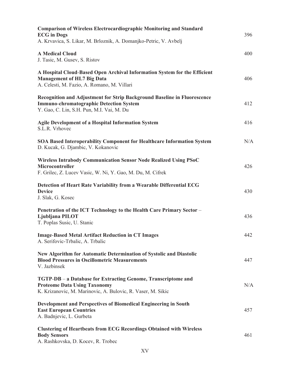| <b>Comparison of Wireless Electrocardiographic Monitoring and Standard</b><br><b>ECG</b> in Dogs<br>A. Krvavica, S. Likar, M. Brloznik, A. Domanjko-Petric, V. Avbelj   | 396 |
|-------------------------------------------------------------------------------------------------------------------------------------------------------------------------|-----|
| <b>A Medical Cloud</b><br>J. Tasic, M. Gusev, S. Ristov                                                                                                                 | 400 |
| A Hospital Cloud-Based Open Archival Information System for the Efficient<br><b>Management of HL7 Big Data</b><br>A. Celesti, M. Fazio, A. Romano, M. Villari           | 406 |
| Recognition and Adjustment for Strip Background Baseline in Fluorescence<br><b>Immuno-chromatographic Detection System</b><br>Y. Gao, C. Lin, S.H. Pun, M.I. Vai, M. Du | 412 |
| Agile Development of a Hospital Information System<br>S.L.R. Vrhovec                                                                                                    | 416 |
| <b>SOA Based Interoperability Component for Healthcare Information System</b><br>D. Kucak, G. Djambic, V. Kokanovic                                                     | N/A |
| <b>Wireless Intrabody Communication Sensor Node Realized Using PSoC</b><br>Microcontroller<br>F. Grilec, Z. Lucev Vasic, W. Ni, Y. Gao, M. Du, M. Cifrek                | 426 |
| Detection of Heart Rate Variability from a Wearable Differential ECG<br><b>Device</b><br>J. Slak, G. Kosec                                                              | 430 |
| Penetration of the ICT Technology to the Health Care Primary Sector -<br>Ljubljana PILOT<br>T. Poplas Susic, U. Stanic                                                  | 436 |
| <b>Image-Based Metal Artifact Reduction in CT Images</b><br>A. Serifovic-Trbalic, A. Trbalic                                                                            | 442 |
| New Algorithm for Automatic Determination of Systolic and Diastolic<br><b>Blood Pressures in Oscillometric Measurements</b><br>V. Jazbinsek                             | 447 |
| TGTP-DB - a Database for Extracting Genome, Transcriptome and<br><b>Proteome Data Using Taxonomy</b><br>K. Krizanovic, M. Marinovic, A. Bulovic, R. Vaser, M. Sikic     | N/A |
| Development and Perspectives of Biomedical Engineering in South<br><b>East European Countries</b><br>A. Badnjevic, L. Gurbeta                                           | 457 |
| <b>Clustering of Heartbeats from ECG Recordings Obtained with Wireless</b><br><b>Body Sensors</b><br>A. Rashkovska, D. Kocev, R. Trobec                                 | 461 |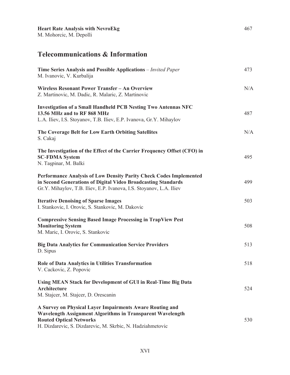#### **Telecommunications & Information**

| Time Series Analysis and Possible Applications – Invited Paper<br>M. Ivanovic, V. Kurbalija                                                                                                                            | 473 |
|------------------------------------------------------------------------------------------------------------------------------------------------------------------------------------------------------------------------|-----|
| Wireless Resonant Power Transfer - An Overview<br>Z. Martinovic, M. Dadic, R. Malaric, Z. Martinovic                                                                                                                   | N/A |
| <b>Investigation of a Small Handheld PCB Nesting Two Antennas NFC</b><br>13.56 MHz and to RF 868 MHz<br>L.A. Iliev, I.S. Stoyanov, T.B. Iliev, E.P. Ivanova, Gr.Y. Mihaylov                                            | 487 |
| The Coverage Belt for Low Earth Orbiting Satellites<br>S. Cakaj                                                                                                                                                        | N/A |
| The Investigation of the Effect of the Carrier Frequency Offset (CFO) in<br><b>SC-FDMA System</b><br>N. Taşpinar, M. Balki                                                                                             | 495 |
| Performance Analysis of Low Density Parity Check Codes Implemented<br>in Second Generations of Digital Video Broadcasting Standards<br>Gr.Y. Mihaylov, T.B. Iliev, E.P. Ivanova, I.S. Stoyanov, L.A. Iliev             | 499 |
| <b>Iterative Denoising of Sparse Images</b><br>I. Stankovic, I. Orovic, S. Stankovic, M. Dakovic                                                                                                                       | 503 |
| <b>Compressive Sensing Based Image Processing in TrapView Pest</b><br><b>Monitoring System</b><br>M. Maric, I. Orovic, S. Stankovic                                                                                    | 508 |
| <b>Big Data Analytics for Communication Service Providers</b><br>D. Sipus                                                                                                                                              | 513 |
| <b>Role of Data Analytics in Utilities Transformation</b><br>V. Cackovic, Z. Popovic                                                                                                                                   | 518 |
| Using MEAN Stack for Development of GUI in Real-Time Big Data<br><b>Architecture</b><br>M. Stajcer, M. Stajcer, D. Orescanin                                                                                           | 524 |
| A Survey on Physical Layer Impairments Aware Routing and<br>Wavelength Assignment Algorithms in Transparent Wavelength<br><b>Routed Optical Networks</b><br>H. Dizdarevic, S. Dizdarevic, M. Skrbic, N. Hadziahmetovic | 530 |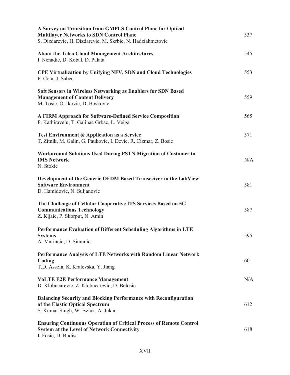| A Survey on Transition from GMPLS Control Plane for Optical<br><b>Multilayer Networks to SDN Control Plane</b><br>S. Dizdarevic, H. Dizdarevic, M. Skrbic, N. Hadziahmetovic | 537 |
|------------------------------------------------------------------------------------------------------------------------------------------------------------------------------|-----|
| <b>About the Telco Cloud Management Architectures</b><br>I. Nenadic, D. Kobal, D. Palata                                                                                     | 545 |
| <b>CPE Virtualization by Unifying NFV, SDN and Cloud Technologies</b><br>P. Cota, J. Sabec                                                                                   | 553 |
| <b>Soft Sensors in Wireless Networking as Enablers for SDN Based</b><br><b>Management of Content Delivery</b><br>M. Tosic, O. Ikovic, D. Boskovic                            | 559 |
| <b>A FIRM Approach for Software-Defined Service Composition</b><br>P. Kathiravelu, T. Galinac Grbac, L. Veiga                                                                | 565 |
| <b>Test Environment &amp; Application as a Service</b><br>T. Zitnik, M. Galin, G. Paukovic, I. Devic, R. Cizmar, Z. Bosic                                                    | 571 |
| <b>Workaround Solutions Used During PSTN Migration of Customer to</b><br><b>IMS Network</b><br>N. Stokic                                                                     | N/A |
| Development of the Generic OFDM Based Transceiver in the LabView<br><b>Software Environment</b><br>D. Hamidovic, N. Suljanovic                                               | 581 |
| The Challenge of Cellular Cooperative ITS Services Based on 5G<br><b>Communications Technology</b><br>Z. Kljaic, P. Skorput, N. Amin                                         | 587 |
| Performance Evaluation of Different Scheduling Algorithms in LTE<br><b>Systems</b><br>A. Marincic, D. Simunic                                                                | 595 |
| Performance Analysis of LTE Networks with Random Linear Network<br>Coding<br>T.D. Assefa, K. Kralevska, Y. Jiang                                                             | 601 |
| <b>VOLTE E2E Performance Management</b><br>D. Klobucarevic, Z. Klobucarevic, D. Belosic                                                                                      | N/A |
| <b>Balancing Security and Blocking Performance with Reconfiguration</b><br>of the Elastic Optical Spectrum<br>S. Kumar Singh, W. Bziuk, A. Jukan                             | 612 |
| <b>Ensuring Continuous Operation of Critical Process of Remote Control</b><br><b>System at the Level of Network Connectivity</b><br>I. Fosic, D. Budisa                      | 618 |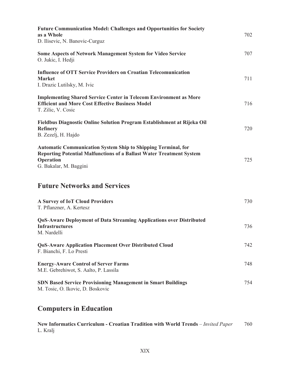| <b>Future Communication Model: Challenges and Opportunities for Society</b><br>as a Whole<br>D. Ilisevic, N. Banovic-Curguz                                                                | 702 |
|--------------------------------------------------------------------------------------------------------------------------------------------------------------------------------------------|-----|
| <b>Some Aspects of Network Management System for Video Service</b><br>O. Jukic, I. Hedji                                                                                                   | 707 |
| <b>Influence of OTT Service Providers on Croatian Telecomunication</b><br><b>Market</b><br>I. Drazic Lutilsky, M. Ivic                                                                     | 711 |
| <b>Implementing Shared Service Center in Telecom Environment as More</b><br><b>Efficient and More Cost Effective Business Model</b><br>T. Zilic, V. Cosic                                  | 716 |
| Fieldbus Diagnostic Online Solution Program Establishment at Rijeka Oil<br><b>Refinery</b><br>B. Zezelj, H. Hajdo                                                                          | 720 |
| <b>Automatic Communication System Ship to Shipping Terminal, for</b><br><b>Reporting Potential Malfunctions of a Ballast Water Treatment System</b><br>Operation<br>G. Bakalar, M. Baggini | 725 |
| <b>Future Networks and Services</b>                                                                                                                                                        |     |
| <b>A Survey of IoT Cloud Providers</b><br>T. Pflanzner, A. Kertesz                                                                                                                         | 730 |
| <b>QoS-Aware Deployment of Data Streaming Applications over Distributed</b><br><b>Infrastructures</b><br>M. Nardelli                                                                       | 736 |
| <b>QoS-Aware Application Placement Over Distributed Cloud</b><br>F. Bianchi, F. Lo Presti                                                                                                  | 742 |
| <b>Energy-Aware Control of Server Farms</b><br>M.E. Gebrehiwot, S. Aalto, P. Lassila                                                                                                       | 748 |
| <b>SDN Based Service Provisioning Management in Smart Buildings</b><br>M. Tosic, O. Ikovic, D. Boskovic                                                                                    | 754 |
| <b>Computers in Education</b>                                                                                                                                                              |     |

| New Informatics Curriculum - Croatian Tradition with World Trends – Invited Paper | 760 |
|-----------------------------------------------------------------------------------|-----|
| L. Kralj                                                                          |     |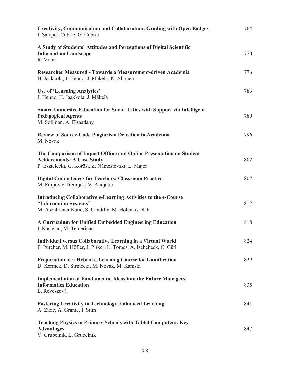| <b>Creativity, Communication and Collaboration: Grading with Open Badges</b><br>I. Salopek Cubric, G. Cubric                                                   | 764 |
|----------------------------------------------------------------------------------------------------------------------------------------------------------------|-----|
| A Study of Students' Attitudes and Perceptions of Digital Scientific<br><b>Information Landscape</b><br>R. Vrana                                               | 770 |
| Researcher Measured - Towards a Measurement-driven Academia<br>H. Jaakkola, J. Henno, J. Mäkelä, K. Ahonen                                                     | 776 |
| <b>Use of 'Learning Analytics'</b><br>J. Henno, H. Jaakkola, J. Mäkelä                                                                                         | 783 |
| <b>Smart Immersive Education for Smart Cities with Support via Intelligent</b><br><b>Pedagogical Agents</b><br>M. Soliman, A. Elsaadany                        | 789 |
| <b>Review of Source-Code Plagiarism Detection in Academia</b><br>M. Novak                                                                                      | 796 |
| The Comparison of Impact Offline and Online Presentation on Student<br><b>Achievements: A Case Study</b><br>P. Esztelecki, G. Kőrösi, Z. Námestovski, L. Major | 802 |
| <b>Digital Competences for Teachers: Classroom Practice</b><br>M. Filipovic Tretinjak, V. Andjelic                                                             | 807 |
| Introducing Collaborative e-Learning Activities to the e-Course<br>"Information Systems"<br>M. Asenbrener Katic, S. Candrlic, M. Holenko Dlab                  | 812 |
| A Curriculum for Unified Embedded Engineering Education<br>I. Kastelan, M. Temerinac                                                                           | 818 |
| Individual versus Collaborative Learning in a Virtual World<br>P. Pürcher, M. Höfler, J. Pirker, L. Tomes, A. Ischebeck, C. Gütl                               | 824 |
| Preparation of a Hybrid e-Learning Course for Gamification<br>D. Kermek, D. Strmecki, M. Novak, M. Kaniski                                                     | 829 |
| Implementation of Fundamental Ideas into the Future Managers'<br><b>Informatics Education</b><br>L. Révészová                                                  | 835 |
| <b>Fostering Creativity in Technology-Enhanced Learning</b><br>A. Zizic, A. Granic, I. Sitin                                                                   | 841 |
| <b>Teaching Physics in Primary Schools with Tablet Computers: Key</b><br><b>Advantages</b><br>V. Grubelnik, L. Grubelnik                                       | 847 |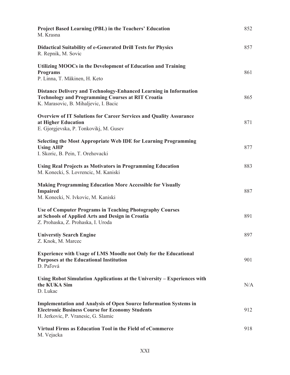| <b>Project Based Learning (PBL) in the Teachers' Education</b><br>M. Krasna                                                                                               | 852 |
|---------------------------------------------------------------------------------------------------------------------------------------------------------------------------|-----|
| <b>Didactical Suitability of e-Generated Drill Tests for Physics</b><br>R. Repnik, M. Sovic                                                                               | 857 |
| Utilizing MOOCs in the Development of Education and Training<br><b>Programs</b><br>P. Linna, T. Mäkinen, H. Keto                                                          | 861 |
| Distance Delivery and Technology-Enhanced Learning in Information<br><b>Technology and Programming Courses at RIT Croatia</b><br>K. Marasovic, B. Mihaljevic, I. Bacic    | 865 |
| <b>Overview of IT Solutions for Career Services and Quality Assurance</b><br>at Higher Education<br>E. Gjorgjevska, P. Tonkovikj, M. Gusev                                | 871 |
| <b>Selecting the Most Appropriate Web IDE for Learning Programming</b><br><b>Using AHP</b><br>I. Skoric, B. Pein, T. Orehovacki                                           | 877 |
| <b>Using Real Projects as Motivators in Programming Education</b><br>M. Konecki, S. Lovrencic, M. Kaniski                                                                 | 883 |
| <b>Making Programming Education More Accessible for Visually</b><br><b>Impaired</b><br>M. Konecki, N. Ivkovic, M. Kaniski                                                 | 887 |
| <b>Use of Computer Programs in Teaching Photography Courses</b><br>at Schools of Applied Arts and Design in Croatia<br>Z. Prohaska, Z. Prohaska, I. Uroda                 | 891 |
| <b>Universtiy Search Engine</b><br>Z. Knok, M. Marcec                                                                                                                     | 897 |
| <b>Experience with Usage of LMS Moodle not Only for the Educational</b><br><b>Purposes at the Educational Institution</b><br>D. Paľová                                    | 901 |
| Using Robot Simulation Applications at the University – Experiences with<br>the KUKA Sim<br>D. Lukac                                                                      | N/A |
| <b>Implementation and Analysis of Open Source Information Systems in</b><br><b>Electronic Business Course for Economy Students</b><br>H. Jerkovic, P. Vranesic, G. Slamic | 912 |
| Virtual Firms as Education Tool in the Field of eCommerce<br>M. Vejacka                                                                                                   | 918 |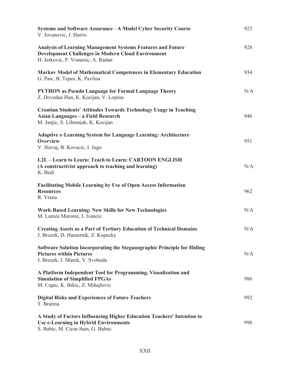| <b>Systems and Software Assurance - A Model Cyber Security Course</b><br>V. Jovanovic, J. Harris                                                                      | 923 |
|-----------------------------------------------------------------------------------------------------------------------------------------------------------------------|-----|
| <b>Analysis of Learning Management Systems Features and Future</b><br><b>Development Challenges in Modern Cloud Environment</b><br>H. Jerkovic, P. Vranesic, A. Radan | 928 |
| <b>Markov Model of Mathematical Competences in Elementary Education</b><br>G. Paic, B. Tepes, K. Pavlina                                                              | 934 |
| <b>PYTHON</b> as Pseudo Language for Formal Language Theory<br>Z. Dovedan Han, K. Kocijan, V. Lopina                                                                  | N/A |
| <b>Croatian Students' Attitudes Towards Technology Usage in Teaching</b><br>Asian Languages - a Field Research<br>M. Janjic, S. Librenjak, K. Kocijan                 | 946 |
| <b>Adaptive e-Learning System for Language Learning: Architecture</b><br><b>Overview</b><br>V. Slavuj, B. Kovacic, I. Jugo                                            | 951 |
| L2L - Learn to Learn: Teach to Learn: CARTOON ENGLISH<br>(A constructivist approach to teaching and learning)<br>K. Bedi                                              | N/A |
| <b>Facilitating Mobile Learning by Use of Open Access Information</b><br><b>Resources</b><br>R. Vrana                                                                 | 962 |
| <b>Work-Based Learning: New Skills for New Technologies</b><br>M. Lamza Maronic, I. Ivancic                                                                           | N/A |
| <b>Creating Assets as a Part of Tertiary Education of Technical Domains</b><br>J. Brozek, D. Hamernik, Z. Kopecky                                                     | N/A |
| Software Solution Incorporating the Steganographic Principle for Hiding<br><b>Pictures within Pictures</b><br>J. Brozek, J. Marek, V. Svoboda                         | N/A |
| A Platform Independent Tool for Programming, Visualization and<br><b>Simulation of Simplified FPGAs</b><br>M. Cupic, K. Brkic, Z. Mihajlovic                          | 986 |
| <b>Digital Risks and Experiences of Future Teachers</b><br>T. Bratina                                                                                                 | 992 |
| A Study of Factors Influencing Higher Education Teachers' Intention to<br><b>Use e-Learning in Hybrid Environments</b><br>S. Babic, M. Cicin-Sain, G. Bubas           | 998 |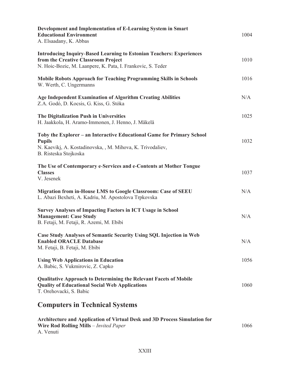| Development and Implementation of E-Learning System in Smart<br><b>Educational Environment</b><br>A. Elsaadany, K. Abbas                                                          | 1004 |
|-----------------------------------------------------------------------------------------------------------------------------------------------------------------------------------|------|
| <b>Introducing Inquiry-Based Learning to Estonian Teachers: Experiences</b><br>from the Creative Classroom Project<br>N. Hoic-Bozic, M. Laanpere, K. Pata, I. Frankovic, S. Teder | 1010 |
| <b>Mobile Robots Approach for Teaching Programming Skills in Schools</b><br>W. Werth, C. Ungermanns                                                                               | 1016 |
| <b>Age Independent Examination of Algorithm Creating Abilities</b><br>Z.A. Godó, D. Kocsis, G. Kiss, G. Stóka                                                                     | N/A  |
| The Digitalization Push in Universities<br>H. Jaakkola, H. Aramo-Immonen, J. Henno, J. Mäkelä                                                                                     | 1025 |
| Toby the Explorer – an Interactive Educational Game for Primary School<br><b>Pupils</b><br>N. Kaeviki, A. Kostadinovska, , M. Mihova, K. Trivodaliev,<br>B. Risteska Stojkoska    | 1032 |
| The Use of Contemporary e-Services and e-Contents at Mother Tongue<br><b>Classes</b><br>V. Jesenek                                                                                | 1037 |
| Migration from in-House LMS to Google Classroom: Case of SEEU<br>L. Abazi Bexheti, A. Kadriu, M. Apostolova Trpkovska                                                             | N/A  |
| <b>Survey Analyses of Impacting Factors in ICT Usage in School</b><br><b>Management: Case Study</b><br>B. Fetaji, M. Fetaji, R. Azemi, M. Ebibi                                   | N/A  |
| <b>Case Study Analyses of Semantic Security Using SQL Injection in Web</b><br><b>Enabled ORACLE Database</b><br>M. Fetaji, B. Fetaji, M. Ebibi                                    | N/A  |
| <b>Using Web Applications in Education</b><br>A. Babic, S. Vukmirovic, Z. Capko                                                                                                   | 1056 |
| <b>Qualitative Approach to Determining the Relevant Facets of Mobile</b><br><b>Quality of Educational Social Web Applications</b><br>T. Orehovacki, S. Babic                      | 1060 |
| <b>Computers in Technical Systems</b>                                                                                                                                             |      |
| Architecture and Application of Virtual Desk and 3D Process Simulation for<br><b>Wire Rod Rolling Mills</b> - Invited Paper<br>A. Venuti                                          | 1066 |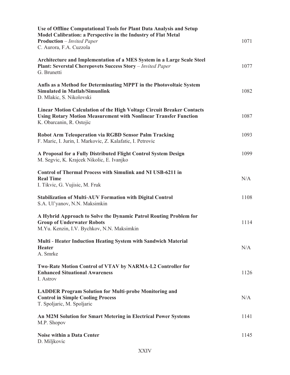| Use of Offline Computational Tools for Plant Data Analysis and Setup<br>Model Calibration: a Perspective in the Industry of Flat Metal<br><b>Production</b> - Invited Paper<br>C. Aurora, F.A. Cuzzola | 1071 |
|--------------------------------------------------------------------------------------------------------------------------------------------------------------------------------------------------------|------|
| Architecture and Implementation of a MES System in a Large Scale Steel<br><b>Plant: Severstal Cherepovets Success Story</b> - Invited Paper<br>G. Brunetti                                             | 1077 |
| Anfis as a Method for Determinating MPPT in the Photovoltaic System<br><b>Simulated in Matlab/Simunlink</b><br>D. Mlakic, S. Nikolovski                                                                | 1082 |
| <b>Linear Motion Calculation of the High Voltage Circuit Breaker Contacts</b><br><b>Using Rotary Motion Measurement with Nonlinear Transfer Function</b><br>K. Obarcanin, R. Ostojic                   | 1087 |
| <b>Robot Arm Teleoperation via RGBD Sensor Palm Tracking</b><br>F. Maric, I. Jurin, I. Markovic, Z. Kalafatic, I. Petrovic                                                                             | 1093 |
| A Proposal for a Fully Distributed Flight Control System Design<br>M. Segvic, K. Krajcek Nikolic, E. Ivanjko                                                                                           | 1099 |
| <b>Control of Thermal Process with Simulink and NI USB-6211 in</b><br><b>Real Time</b><br>I. Tikvic, G. Vujisic, M. Fruk                                                                               | N/A  |
| <b>Stabilization of Multi-AUV Formation with Digital Control</b><br>S.A. Ul'yanov, N.N. Maksimkin                                                                                                      | 1108 |
| A Hybrid Approach to Solve the Dynamic Patrol Routing Problem for<br><b>Group of Underwater Robots</b><br>M.Yu. Kenzin, I.V. Bychkov, N.N. Maksimkin                                                   | 1114 |
| Multi - Heater Induction Heating System with Sandwich Material<br><b>Heater</b><br>A. Smrke                                                                                                            | N/A  |
| Two-Rate Motion Control of VTAV by NARMA-L2 Controller for<br><b>Enhanced Situational Awareness</b><br>I. Astrov                                                                                       | 1126 |
| <b>LADDER Program Solution for Multi-probe Monitoring and</b><br><b>Control in Simple Cooling Process</b><br>T. Spoljaric, M. Spoljaric                                                                | N/A  |
| An M2M Solution for Smart Metering in Electrical Power Systems<br>M.P. Shopov                                                                                                                          | 1141 |
| <b>Noise within a Data Center</b><br>D. Miljkovic                                                                                                                                                      | 1145 |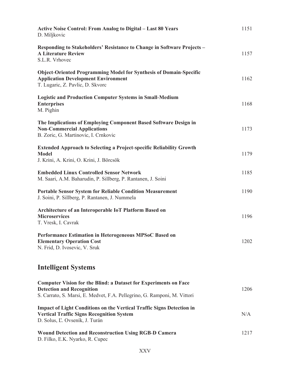| <b>Active Noise Control: From Analog to Digital - Last 80 Years</b><br>D. Miljkovic                                                                                                     | 1151 |
|-----------------------------------------------------------------------------------------------------------------------------------------------------------------------------------------|------|
| Responding to Stakeholders' Resistance to Change in Software Projects -<br><b>A Literature Review</b><br>S.L.R. Vrhovec                                                                 | 1157 |
| <b>Object-Oriented Programming Model for Synthesis of Domain-Specific</b><br><b>Application Development Environment</b><br>T. Lugaric, Z. Pavlic, D. Skvorc                             | 1162 |
| <b>Logistic and Production Computer Systems in Small-Medium</b><br><b>Enterprises</b><br>M. Pighin                                                                                      | 1168 |
| The Implications of Employing Component Based Software Design in<br><b>Non-Commercial Applications</b><br>B. Zoric, G. Martinovic, I. Crnkovic                                          | 1173 |
| <b>Extended Approach to Selecting a Project-specific Reliability Growth</b><br><b>Model</b><br>J. Krini, A. Krini, O. Krini, J. Börcsök                                                 | 1179 |
| <b>Embedded Linux Controlled Sensor Network</b><br>M. Saari, A.M. Baharudin, P. Sillberg, P. Rantanen, J. Soini                                                                         | 1185 |
| <b>Portable Sensor System for Reliable Condition Measurement</b><br>J. Soini, P. Sillberg, P. Rantanen, J. Nummela                                                                      | 1190 |
| Architecture of an Interoperable IoT Platform Based on<br><b>Microservices</b><br>T. Vresk, I. Cavrak                                                                                   | 1196 |
| Performance Estimation in Heterogeneous MPSoC Based on<br><b>Elementary Operation Cost</b><br>N. Frid, D. Ivosevic, V. Sruk                                                             | 1202 |
| <b>Intelligent Systems</b>                                                                                                                                                              |      |
| <b>Computer Vision for the Blind: a Dataset for Experiments on Face</b><br><b>Detection and Recognition</b><br>S. Carrato, S. Marsi, E. Medvet, F.A. Pellegrino, G. Ramponi, M. Vittori | 1206 |
| <b>Impact of Light Conditions on the Vertical Traffic Signs Detection in</b><br><b>Vertical Traffic Signs Recognition System</b><br>D. Solus, L. Ovseník, J. Turán                      | N/A  |
| <b>Wound Detection and Reconstruction Using RGB-D Camera</b><br>D. Filko, E.K. Nyarko, R. Cupec                                                                                         | 1217 |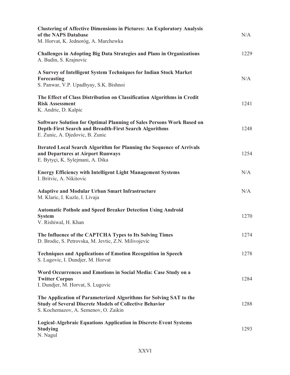| <b>Clustering of Affective Dimensions in Pictures: An Exploratory Analysis</b><br>of the NAPS Database<br>M. Horvat, K. Jednoróg, A. Marchewka                               | N/A  |
|------------------------------------------------------------------------------------------------------------------------------------------------------------------------------|------|
| <b>Challenges in Adopting Big Data Strategies and Plans in Organizations</b><br>A. Budin, S. Krajnovic                                                                       | 1229 |
| A Survey of Intelligent System Techniques for Indian Stock Market<br>Forecasting<br>S. Panwar, V.P. Upadhyay, S.K. Bishnoi                                                   | N/A  |
| The Effect of Class Distribution on Classification Algorithms in Credit<br><b>Risk Assessment</b><br>K. Andric, D. Kalpic                                                    | 1241 |
| Software Solution for Optimal Planning of Sales Persons Work Based on<br><b>Depth-First Search and Breadth-First Search Algorithms</b><br>E. Zunic, A. Djedovic, B. Zunic    | 1248 |
| <b>Iterated Local Search Algorithm for Planning the Sequence of Arrivals</b><br>and Departures at Airport Runways<br>E. Bytyci, K. Sylejmani, A. Dika                        | 1254 |
| <b>Energy Efficiency with Intelligent Light Management Systems</b><br>I. Britvic, A. Nikitovic                                                                               | N/A  |
| <b>Adaptive and Modular Urban Smart Infrastructure</b><br>M. Klaric, I. Kuzle, I. Livaja                                                                                     | N/A  |
| <b>Automatic Pothole and Speed Breaker Detection Using Android</b><br><b>System</b><br>V. Rishiwal, H. Khan                                                                  | 1270 |
| The Influence of the CAPTCHA Types to Its Solving Times<br>D. Brodic, S. Petrovska, M. Jevtic, Z.N. Milivojevic                                                              | 1274 |
| <b>Techniques and Applications of Emotion Recognition in Speech</b><br>S. Lugovic, I. Dundjer, M. Horvat                                                                     | 1278 |
| Word Occurrences and Emotions in Social Media: Case Study on a<br><b>Twitter Corpus</b><br>I. Dundjer, M. Horvat, S. Lugovic                                                 | 1284 |
| The Application of Parameterized Algorithms for Solving SAT to the<br><b>Study of Several Discrete Models of Collective Behavior</b><br>S. Kochemazov, A. Semenov, O. Zaikin | 1288 |
| <b>Logical-Algebraic Equations Application in Discrete-Event Systems</b><br><b>Studying</b><br>N. Nagul                                                                      | 1293 |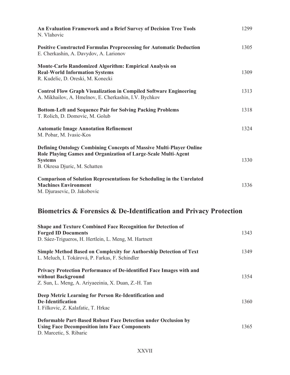| An Evaluation Framework and a Brief Survey of Decision Tree Tools<br>N. Vlahovic                                                                                                                | 1299 |
|-------------------------------------------------------------------------------------------------------------------------------------------------------------------------------------------------|------|
| <b>Positive Constructed Formulas Preprocessing for Automatic Deduction</b><br>E. Cherkashin, A. Davydov, A. Larionov                                                                            | 1305 |
| Monte-Carlo Randomized Algorithm: Empirical Analysis on<br><b>Real-World Information Systems</b><br>R. Kudelic, D. Oreski, M. Konecki                                                           | 1309 |
| <b>Control Flow Graph Visualization in Compiled Software Engineering</b><br>A. Mikhailov, A. Hmelnov, E. Cherkashin, I.V. Bychkov                                                               | 1313 |
| <b>Bottom-Left and Sequence Pair for Solving Packing Problems</b><br>T. Rolich, D. Domovic, M. Golub                                                                                            | 1318 |
| <b>Automatic Image Annotation Refinement</b><br>M. Pobar, M. Ivasic-Kos                                                                                                                         | 1324 |
| <b>Defining Ontology Combining Concepts of Massive Multi-Player Online</b><br>Role Playing Games and Organization of Large-Scale Multi-Agent<br><b>Systems</b><br>B. Okresa Djuric, M. Schatten | 1330 |
| <b>Comparison of Solution Representations for Scheduling in the Unrelated</b><br><b>Machines Environment</b><br>M. Djurasevic, D. Jakobovic                                                     | 1336 |

## **Biometrics & Forensics & De-Identification and Privacy Protection**

| <b>Shape and Texture Combined Face Recognition for Detection of</b><br><b>Forged ID Documents</b><br>D. Sáez-Trigueros, H. Hertlein, L. Meng, M. Hartnett | 1343 |
|-----------------------------------------------------------------------------------------------------------------------------------------------------------|------|
| <b>Simple Method Based on Complexity for Authorship Detection of Text</b><br>L. Meluch, I. Tokárová, P. Farkas, F. Schindler                              | 1349 |
| <b>Privacy Protection Performance of De-identified Face Images with and</b><br>without Background<br>Z. Sun, L. Meng, A. Ariyaeeinia, X. Duan, Z.-H. Tan  | 1354 |
| Deep Metric Learning for Person Re-Identification and<br>De-Identification<br>I. Filkovic, Z. Kalafatic, T. Hrkac                                         | 1360 |
| <b>Deformable Part-Based Robust Face Detection under Occlusion by</b><br><b>Using Face Decomposition into Face Components</b><br>D. Marcetic, S. Ribaric  | 1365 |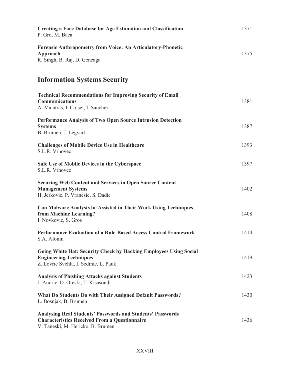| <b>Creating a Face Database for Age Estimation and Classification</b><br>P. Grd, M. Baca                                                                       | 1371 |
|----------------------------------------------------------------------------------------------------------------------------------------------------------------|------|
| <b>Forensic Anthropometry from Voice: An Articulatory-Phonetic</b><br>Approach<br>R. Singh, B. Raj, D. Gencaga                                                 | 1375 |
| <b>Information Systems Security</b>                                                                                                                            |      |
| <b>Technical Recommendations for Improving Security of Email</b><br><b>Communications</b><br>A. Malatras, I. Coisel, I. Sanchez                                | 1381 |
| Performance Analysis of Two Open Source Intrusion Detection<br><b>Systems</b><br>B. Brumen, J. Legvart                                                         | 1387 |
| <b>Challenges of Mobile Device Use in Healthcare</b><br>S.L.R. Vrhovec                                                                                         | 1393 |
| Safe Use of Mobile Devices in the Cyberspace<br>S.L.R. Vrhovec                                                                                                 | 1397 |
| <b>Securing Web Content and Services in Open Source Content</b><br><b>Management Systems</b><br>H. Jerkovic, P. Vranesic, S. Dadic                             | 1402 |
| <b>Can Malware Analysts be Assisted in Their Work Using Techniques</b><br>from Machine Learning?<br>I. Novkovic, S. Gros                                       | 1408 |
| Performance Evaluation of a Rule-Based Access Control Framework<br>S.A. Afonin                                                                                 | 1414 |
| <b>Going White Hat: Security Check by Hacking Employees Using Social</b><br><b>Engineering Techniques</b><br>Z. Lovric Svehla, I. Sedinic, L. Pauk             | 1419 |
| <b>Analysis of Phishing Attacks against Students</b><br>J. Andric, D. Oreski, T. Kisasondi                                                                     | 1423 |
| What Do Students Do with Their Assigned Default Passwords?<br>L. Bosnjak, B. Brumen                                                                            | 1430 |
| <b>Analysing Real Students' Passwords and Students' Passwords</b><br><b>Characteristics Received From a Questionnaire</b><br>V. Taneski, M. Hericko, B. Brumen | 1436 |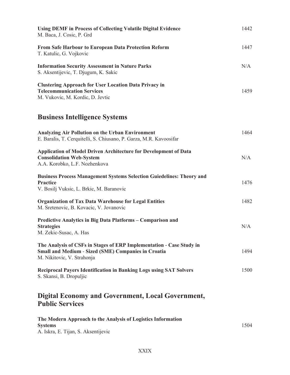| <b>Using DEMF in Process of Collecting Volatile Digital Evidence</b><br>M. Baca, J. Cosic, P. Grd                                                                | 1442 |
|------------------------------------------------------------------------------------------------------------------------------------------------------------------|------|
| From Safe Harbour to European Data Protection Reform<br>T. Katulic, G. Vojkovic                                                                                  | 1447 |
| <b>Information Security Assessment in Nature Parks</b><br>S. Aksentijevic, T. Djugum, K. Sakic                                                                   | N/A  |
| <b>Clustering Approach for User Location Data Privacy in</b><br><b>Telecommunication Services</b><br>M. Vukovic, M. Kordic, D. Jevtic                            | 1459 |
| <b>Business Intelligence Systems</b>                                                                                                                             |      |
| <b>Analyzing Air Pollution on the Urban Environment</b><br>E. Baralis, T. Cerquitelli, S. Chiusano, P. Garza, M.R. Kavoosifar                                    | 1464 |
| <b>Application of Model Driven Architecture for Development of Data</b><br><b>Consolidation Web-System</b><br>A.A. Korobko, L.F. Nozhenkova                      | N/A  |
| <b>Business Process Management Systems Selection Guiedelines: Theory and</b><br><b>Practice</b><br>V. Bosilj Vuksic, L. Brkic, M. Baranovic                      | 1476 |
| <b>Organization of Tax Data Warehouse for Legal Entities</b><br>M. Sretenovic, B. Kovacic, V. Jovanovic                                                          | 1482 |
| Predictive Analytics in Big Data Platforms - Comparison and<br><b>Strategies</b><br>M. Zekic-Susac, A. Has                                                       | N/A  |
| The Analysis of CSFs in Stages of ERP Implementation - Case Study in<br><b>Small and Medium - Sized (SME) Companies in Croatia</b><br>M. Nikitovic, V. Strahonja | 1494 |
| <b>Reciprocal Payers Identification in Banking Logs using SAT Solvers</b><br>S. Skansi, B. Dropuljic                                                             | 1500 |
| <b>Digital Economy and Government, Local Government,</b><br><b>Public Services</b>                                                                               |      |
| The Modern Approach to the Analysis of Logistics Information<br><b>Systems</b><br>A. Iskra, E. Tijan, S. Aksentijevic                                            | 1504 |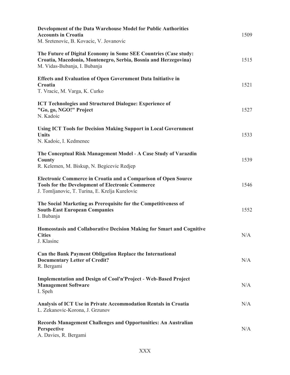| Development of the Data Warehouse Model for Public Authorities<br><b>Accounts in Croatia</b><br>M. Sretenovic, B. Kovacic, V. Jovanovic                                     | 1509 |
|-----------------------------------------------------------------------------------------------------------------------------------------------------------------------------|------|
| The Future of Digital Economy in Some SEE Countries (Case study:<br>Croatia, Macedonia, Montenegro, Serbia, Bosnia and Herzegovina)<br>M. Vidas-Bubanja, I. Bubanja         | 1515 |
| <b>Effects and Evaluation of Open Government Data Initiative in</b><br>Croatia<br>T. Vracic, M. Varga, K. Curko                                                             | 1521 |
| <b>ICT Technologies and Structured Dialogue: Experience of</b><br>"Go, go, NGO!" Project<br>N. Kadoic                                                                       | 1527 |
| <b>Using ICT Tools for Decision Making Support in Local Government</b><br><b>Units</b><br>N. Kadoic, I. Kedmenec                                                            | 1533 |
| The Conceptual Risk Management Model - A Case Study of Varazdin<br><b>County</b><br>R. Kelemen, M. Biskup, N. Begicevic Redjep                                              | 1539 |
| Electronic Commerce in Croatia and a Comparison of Open Source<br><b>Tools for the Development of Electronic Commerce</b><br>J. Tomljanovic, T. Turina, E. Krelja Kurelovic | 1546 |
| The Social Marketing as Prerequisite for the Competitiveness of<br><b>South-East European Companies</b><br>I. Bubanja                                                       | 1552 |
| Homeostasis and Collaborative Decision Making for Smart and Cognitive<br><b>Cities</b><br>J. Klasinc                                                                        | N/A  |
| <b>Can the Bank Payment Obligation Replace the International</b><br><b>Documentary Letter of Credit?</b><br>R. Bergami                                                      | N/A  |
| <b>Implementation and Design of Cool'n'Project - Web-Based Project</b><br><b>Management Software</b><br>I. Speh                                                             | N/A  |
| Analysis of ICT Use in Private Accommodation Rentals in Croatia<br>L. Zekanovic-Korona, J. Grzunov                                                                          | N/A  |
| <b>Records Management Challenges and Opportunities: An Australian</b><br>Perspective<br>A. Davies, R. Bergami                                                               | N/A  |